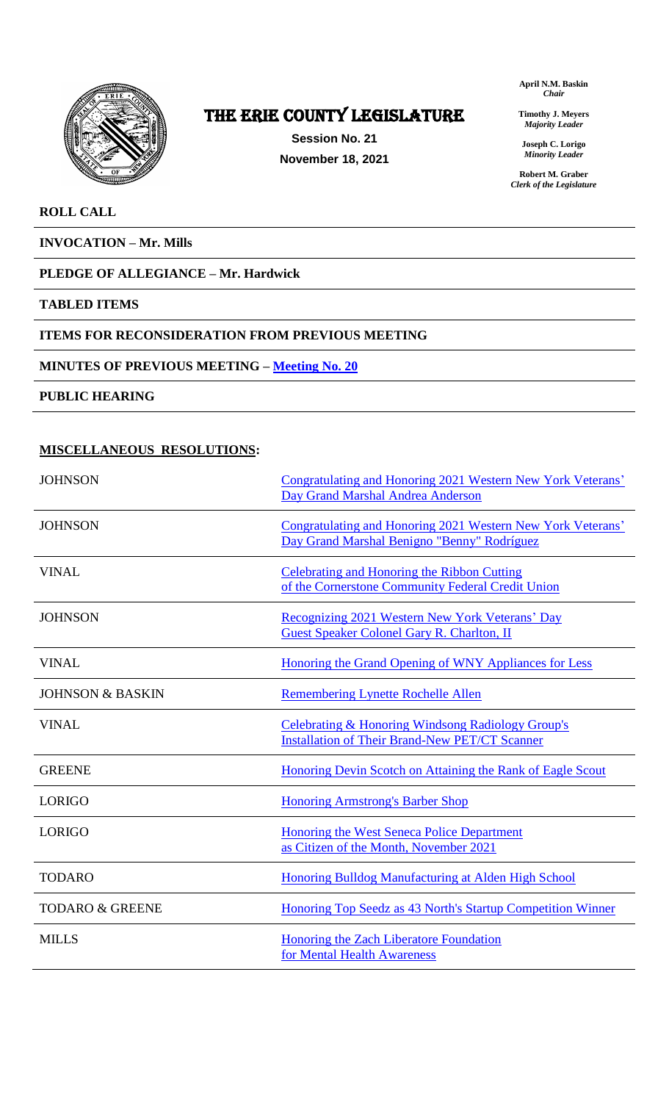

# The ERIE COUNTY LEGISLATURE

**Session No. 21 November 18, 2021** **April N.M. Baskin** *Chair*

**Timothy J. Meyers** *Majority Leader*

**Joseph C. Lorigo** *Minority Leader*

**Robert M. Graber** *Clerk of the Legislature*

# **ROLL CALL**

**INVOCATION – Mr. Mills**

# **PLEDGE OF ALLEGIANCE – Mr. Hardwick**

### **TABLED ITEMS**

## **ITEMS FOR RECONSIDERATION FROM PREVIOUS MEETING**

### **MINUTES OF PREVIOUS MEETING – [Meeting No. 20](https://www2.erie.gov/legislature/sites/www2.erie.gov.legislature/files/uploads/Session_Folders/2021/21/Meeting%2020%20from%202021%20minutes.pdf)**

**PUBLIC HEARING**

# **MISCELLANEOUS RESOLUTIONS:**

| <b>JOHNSON</b>              | Congratulating and Honoring 2021 Western New York Veterans'<br>Day Grand Marshal Andrea Anderson           |
|-----------------------------|------------------------------------------------------------------------------------------------------------|
| <b>JOHNSON</b>              | Congratulating and Honoring 2021 Western New York Veterans'<br>Day Grand Marshal Benigno "Benny" Rodríguez |
| <b>VINAL</b>                | Celebrating and Honoring the Ribbon Cutting<br>of the Cornerstone Community Federal Credit Union           |
| <b>JOHNSON</b>              | Recognizing 2021 Western New York Veterans' Day<br><b>Guest Speaker Colonel Gary R. Charlton, II</b>       |
| <b>VINAL</b>                | Honoring the Grand Opening of WNY Appliances for Less                                                      |
| <b>JOHNSON &amp; BASKIN</b> | <b>Remembering Lynette Rochelle Allen</b>                                                                  |
| <b>VINAL</b>                | Celebrating & Honoring Windsong Radiology Group's<br><b>Installation of Their Brand-New PET/CT Scanner</b> |
| <b>GREENE</b>               | Honoring Devin Scotch on Attaining the Rank of Eagle Scout                                                 |
| <b>LORIGO</b>               | <b>Honoring Armstrong's Barber Shop</b>                                                                    |
| <b>LORIGO</b>               | Honoring the West Seneca Police Department<br>as Citizen of the Month, November 2021                       |
| <b>TODARO</b>               | Honoring Bulldog Manufacturing at Alden High School                                                        |
| <b>TODARO &amp; GREENE</b>  | Honoring Top Seedz as 43 North's Startup Competition Winner                                                |
| <b>MILLS</b>                | Honoring the Zach Liberatore Foundation<br>for Mental Health Awareness                                     |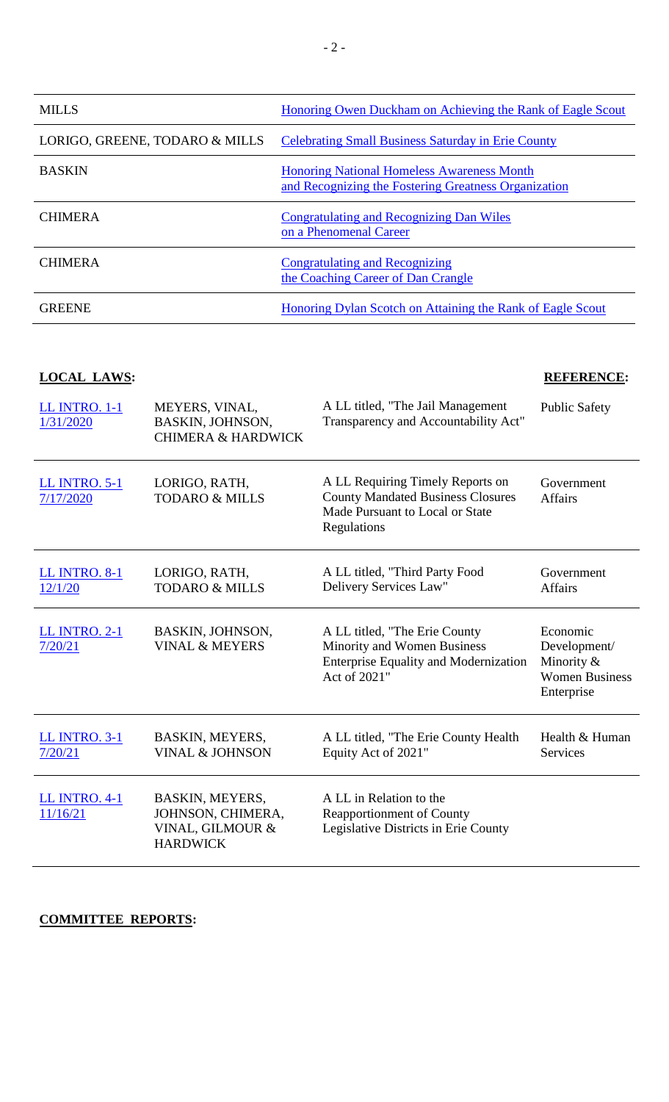| <b>MILLS</b>                   | Honoring Owen Duckham on Achieving the Rank of Eagle Scout                                                |
|--------------------------------|-----------------------------------------------------------------------------------------------------------|
| LORIGO, GREENE, TODARO & MILLS | <b>Celebrating Small Business Saturday in Erie County</b>                                                 |
| <b>BASKIN</b>                  | <b>Honoring National Homeless Awareness Month</b><br>and Recognizing the Fostering Greatness Organization |
| <b>CHIMERA</b>                 | <b>Congratulating and Recognizing Dan Wiles</b><br>on a Phenomenal Career                                 |
| <b>CHIMERA</b>                 | <b>Congratulating and Recognizing</b><br>the Coaching Career of Dan Crangle                               |
| <b>GREENE</b>                  | Honoring Dylan Scotch on Attaining the Rank of Eagle Scout                                                |

# **LOCAL LAWS: REFERENCE:**

| <b>LL INTRO. 1-1</b><br>1/31/2020 | MEYERS, VINAL,<br>BASKIN, JOHNSON,<br><b>CHIMERA &amp; HARDWICK</b>         | A LL titled, "The Jail Management<br>Transparency and Accountability Act"                                                      | <b>Public Safety</b>                                                          |
|-----------------------------------|-----------------------------------------------------------------------------|--------------------------------------------------------------------------------------------------------------------------------|-------------------------------------------------------------------------------|
| <b>LL INTRO. 5-1</b><br>7/17/2020 | LORIGO, RATH,<br><b>TODARO &amp; MILLS</b>                                  | A LL Requiring Timely Reports on<br><b>County Mandated Business Closures</b><br>Made Pursuant to Local or State<br>Regulations | Government<br><b>Affairs</b>                                                  |
| <b>LL INTRO. 8-1</b><br>12/1/20   | LORIGO, RATH,<br><b>TODARO &amp; MILLS</b>                                  | A LL titled, "Third Party Food<br>Delivery Services Law"                                                                       | Government<br><b>Affairs</b>                                                  |
| <b>LL INTRO. 2-1</b><br>7/20/21   | <b>BASKIN, JOHNSON,</b><br><b>VINAL &amp; MEYERS</b>                        | A LL titled, "The Erie County"<br>Minority and Women Business<br><b>Enterprise Equality and Modernization</b><br>Act of 2021"  | Economic<br>Development/<br>Minority &<br><b>Women Business</b><br>Enterprise |
| <b>LL INTRO. 3-1</b><br>7/20/21   | BASKIN, MEYERS,<br><b>VINAL &amp; JOHNSON</b>                               | A LL titled, "The Erie County Health<br>Equity Act of 2021"                                                                    | Health & Human<br><b>Services</b>                                             |
| <b>LL INTRO. 4-1</b><br>11/16/21  | BASKIN, MEYERS,<br>JOHNSON, CHIMERA,<br>VINAL, GILMOUR &<br><b>HARDWICK</b> | A LL in Relation to the<br><b>Reapportionment of County</b><br>Legislative Districts in Erie County                            |                                                                               |

# **COMMITTEE REPORTS:**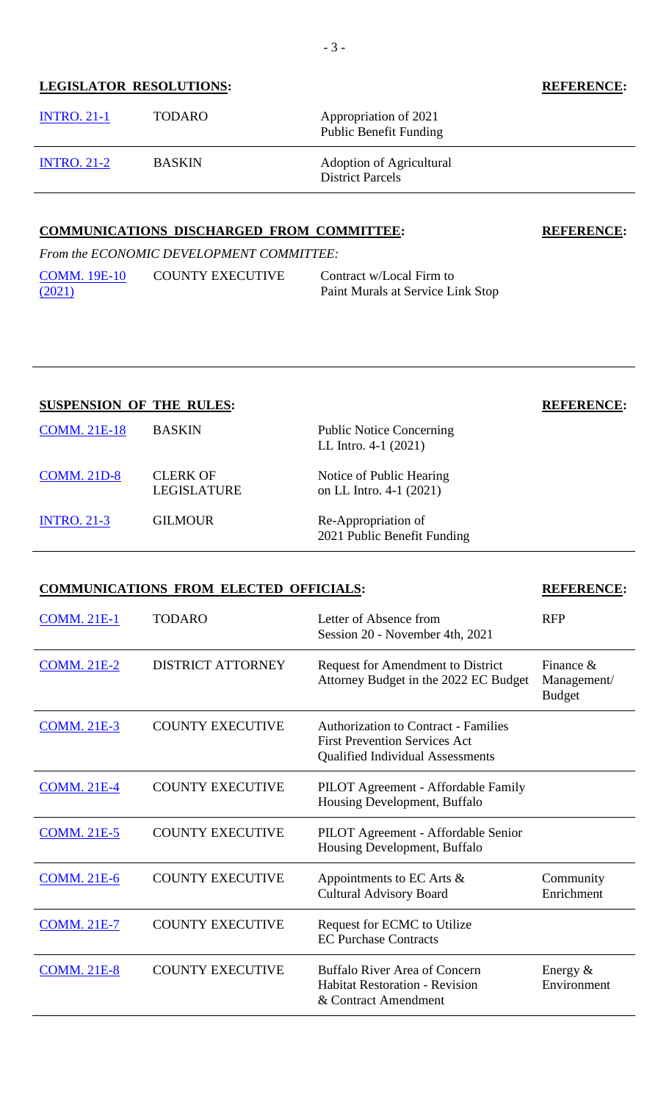# **LEGISLATOR RESOLUTIONS: REFERENCE:**

| <b>INTRO. 21-1</b> | <b>TODARO</b> | Appropriation of 2021<br><b>Public Benefit Funding</b>     |
|--------------------|---------------|------------------------------------------------------------|
| <b>INTRO. 21-2</b> | <b>BASKIN</b> | <b>Adoption of Agricultural</b><br><b>District Parcels</b> |

### **COMMUNICATIONS DISCHARGED FROM COMMITTEE: REFERENCE:**

*From the ECONOMIC DEVELOPMENT COMMITTEE:* [COMM. 19E-10](https://www2.erie.gov/legislature/sites/www2.erie.gov.legislature/files/uploads/Session_Folders/2021/19/21COMM.%2019E-10.pdf) COUNTY EXECUTIVE [\(2021\)](https://www2.erie.gov/legislature/sites/www2.erie.gov.legislature/files/uploads/Session_Folders/2021/19/21COMM.%2019E-10.pdf) Contract w/Local Firm to

# Paint Murals at Service Link Stop

# **SUSPENSION OF THE RULES: REFERENCE:**

| <b>COMM. 21E-18</b> | <b>BASKIN</b>                  | <b>Public Notice Concerning</b><br>LL Intro. $4-1$ (2021) |
|---------------------|--------------------------------|-----------------------------------------------------------|
| <b>COMM. 21D-8</b>  | <b>CLERK OF</b><br>LEGISLATURE | Notice of Public Hearing<br>on LL Intro. 4-1 (2021)       |
| <b>INTRO. 21-3</b>  | <b>GILMOUR</b>                 | Re-Appropriation of<br>2021 Public Benefit Funding        |

# **COMMUNICATIONS FROM ELECTED OFFICIALS: REFERENCE:**

| <b>COMM. 21E-1</b> | <b>TODARO</b>            | Letter of Absence from<br>Session 20 - November 4th, 2021                                                                      | <b>RFP</b>                                   |
|--------------------|--------------------------|--------------------------------------------------------------------------------------------------------------------------------|----------------------------------------------|
| <b>COMM. 21E-2</b> | <b>DISTRICT ATTORNEY</b> | Request for Amendment to District<br>Attorney Budget in the 2022 EC Budget                                                     | Finance $\&$<br>Management/<br><b>Budget</b> |
| <b>COMM. 21E-3</b> | <b>COUNTY EXECUTIVE</b>  | <b>Authorization to Contract - Families</b><br><b>First Prevention Services Act</b><br><b>Qualified Individual Assessments</b> |                                              |
| <b>COMM. 21E-4</b> | <b>COUNTY EXECUTIVE</b>  | PILOT Agreement - Affordable Family<br>Housing Development, Buffalo                                                            |                                              |
| <b>COMM. 21E-5</b> | <b>COUNTY EXECUTIVE</b>  | PILOT Agreement - Affordable Senior<br>Housing Development, Buffalo                                                            |                                              |
| <b>COMM. 21E-6</b> | <b>COUNTY EXECUTIVE</b>  | Appointments to EC Arts $\&$<br><b>Cultural Advisory Board</b>                                                                 | Community<br>Enrichment                      |
| <b>COMM. 21E-7</b> | <b>COUNTY EXECUTIVE</b>  | Request for ECMC to Utilize<br><b>EC Purchase Contracts</b>                                                                    |                                              |
| <b>COMM. 21E-8</b> | <b>COUNTY EXECUTIVE</b>  | <b>Buffalo River Area of Concern</b><br><b>Habitat Restoration - Revision</b><br>& Contract Amendment                          | Energy $&$<br>Environment                    |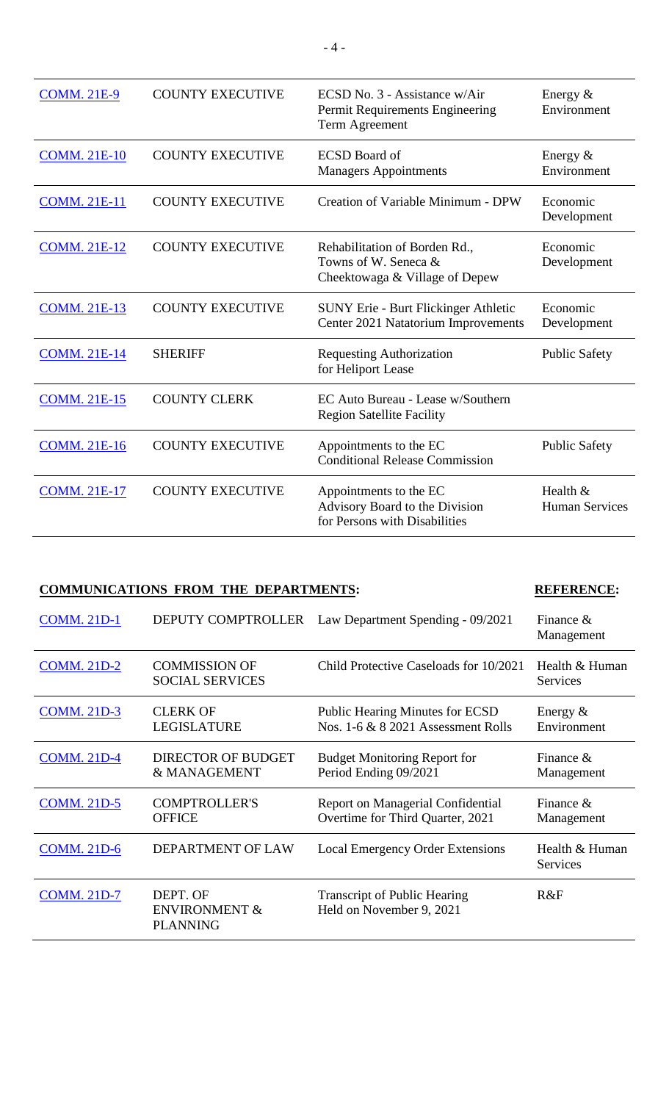| <b>COMM. 21E-9</b>  | <b>COUNTY EXECUTIVE</b> | ECSD No. 3 - Assistance w/Air<br>Permit Requirements Engineering<br>Term Agreement        | Energy $&$<br>Environment         |
|---------------------|-------------------------|-------------------------------------------------------------------------------------------|-----------------------------------|
| <b>COMM. 21E-10</b> | <b>COUNTY EXECUTIVE</b> | <b>ECSD</b> Board of<br><b>Managers Appointments</b>                                      | Energy $&$<br>Environment         |
| <b>COMM. 21E-11</b> | <b>COUNTY EXECUTIVE</b> | Creation of Variable Minimum - DPW                                                        | Economic<br>Development           |
| <b>COMM. 21E-12</b> | <b>COUNTY EXECUTIVE</b> | Rehabilitation of Borden Rd.,<br>Towns of W. Seneca &<br>Cheektowaga & Village of Depew   | Economic<br>Development           |
| <b>COMM. 21E-13</b> | <b>COUNTY EXECUTIVE</b> | <b>SUNY Erie - Burt Flickinger Athletic</b><br>Center 2021 Natatorium Improvements        | Economic<br>Development           |
| <b>COMM. 21E-14</b> | <b>SHERIFF</b>          | <b>Requesting Authorization</b><br>for Heliport Lease                                     | <b>Public Safety</b>              |
| <b>COMM. 21E-15</b> | <b>COUNTY CLERK</b>     | EC Auto Bureau - Lease w/Southern<br><b>Region Satellite Facility</b>                     |                                   |
| <b>COMM. 21E-16</b> | <b>COUNTY EXECUTIVE</b> | Appointments to the EC<br><b>Conditional Release Commission</b>                           | <b>Public Safety</b>              |
| <b>COMM. 21E-17</b> | <b>COUNTY EXECUTIVE</b> | Appointments to the EC<br>Advisory Board to the Division<br>for Persons with Disabilities | Health &<br><b>Human Services</b> |

## **COMMUNICATIONS FROM THE DEPARTMENTS: REFERENCE:**

### [COMM. 21D-1](https://www2.erie.gov/legislature/sites/www2.erie.gov.legislature/files/uploads/Session_Folders/2021/21/21COMM.%2021D-1.pdf) DEPUTY COMPTROLLER Law Department Spending - 09/2021 Finance & Management [COMM. 21D-2](https://www2.erie.gov/legislature/sites/www2.erie.gov.legislature/files/uploads/Session_Folders/2021/21/21COMM.%2021D-2.pdf) COMMISSION OF SOCIAL SERVICES Child Protective Caseloads for 10/2021 Health & Human Services [COMM. 21D-3](https://www2.erie.gov/legislature/sites/www2.erie.gov.legislature/files/uploads/Session_Folders/2021/21/21COMM.%2021D-3.pdf) CLERK OF LEGISLATURE Public Hearing Minutes for ECSD Nos. 1-6 & 8 2021 Assessment Rolls Energy & Environment [COMM. 21D-4](https://www2.erie.gov/legislature/sites/www2.erie.gov.legislature/files/uploads/Session_Folders/2021/21/21COMM.%2021D-4.pdf) DIRECTOR OF BUDGET & MANAGEMENT Budget Monitoring Report for Period Ending 09/2021 Finance & Management [COMM. 21D-5](https://www2.erie.gov/legislature/sites/www2.erie.gov.legislature/files/uploads/Session_Folders/2021/21/21COMM.%2021D-5.pdf) COMPTROLLER'S **OFFICE** Report on Managerial Confidential Overtime for Third Quarter, 2021 Finance & Management [COMM. 21D-6](https://www2.erie.gov/legislature/sites/www2.erie.gov.legislature/files/uploads/Session_Folders/2021/21/21COMM.%2021D-6.pdf) DEPARTMENT OF LAW Local Emergency Order Extensions Health & Human Services [COMM. 21D-7](https://www2.erie.gov/legislature/sites/www2.erie.gov.legislature/files/uploads/Session_Folders/2021/21/21COMM.%2021D-7.pdf) DEPT. OF ENVIRONMENT & PLANNING Transcript of Public Hearing Held on November 9, 2021 R&F